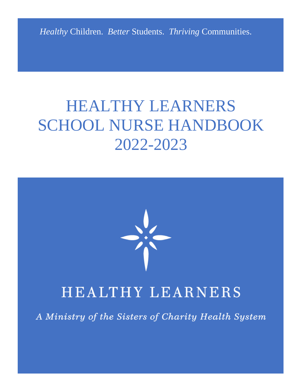*Healthy* Children. *Better* Students. *Thriving* Communities.

## HEALTHY LEARNERS SCHOOL NURSE HANDBOOK 2022-2023



### HEALTHY LEARNERS

A Ministry of the Sisters of Charity Health System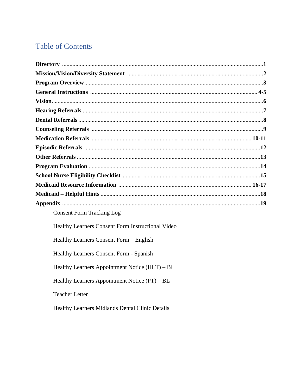#### **Table of Contents**

| <b>Consent Form Tracking Log</b> |  |
|----------------------------------|--|

Healthy Learners Consent Form Instructional Video

Healthy Learners Consent Form - English

Healthy Learners Consent Form - Spanish

Healthy Learners Appointment Notice (HLT) - BL

Healthy Learners Appointment Notice (PT) - BL

**Teacher Letter** 

Healthy Learners Midlands Dental Clinic Details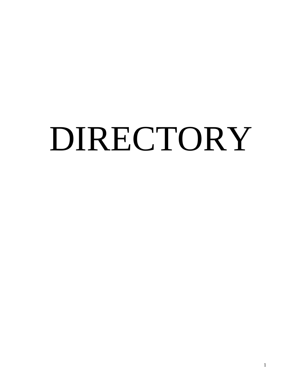# DIRECTORY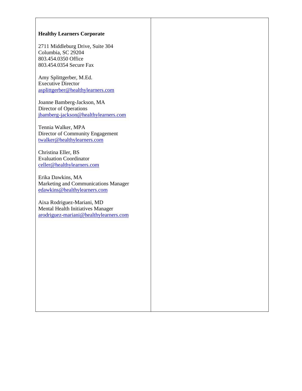#### **Healthy Learners Corporate**

2711 Middleburg Drive, Suite 304 Columbia, SC 29204 803.454.0350 Office 803.454.0354 Secure Fax

Amy Splittgerber, M.Ed. Executive Director [asplittgerber@healthylearners.com](mailto:asplittgerber@healthylearners.com)

Joanne Bamberg-Jackson, MA Director of Operations [jbamberg-jackson@healthylearners.com](mailto:jbamberg-jackson@healthylearners.com)

Tennia Walker, MPA Director of Community Engagement [twalker@healthylearners.com](mailto:twalker@healthylearners.com)

Christina Eller, BS Evaluation Coordinator [celler@healthylearners.com](mailto:celler@healthylearners.com)

Erika Dawkins, MA Marketing and Communications Manager [edawkins@healthylearners.com](mailto:edawkins@healthylearners.com)

Aixa Rodriguez-Mariani, MD Mental Health Initiatives Manager [arodriguez-mariani@healthylearners.com](mailto:arodriguez-mariani@healthylearners.com)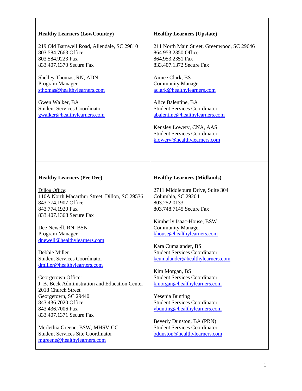| <b>Healthy Learners (LowCountry)</b>                                                                                                  | <b>Healthy Learners (Upstate)</b>                                                                 |
|---------------------------------------------------------------------------------------------------------------------------------------|---------------------------------------------------------------------------------------------------|
| 219 Old Barnwell Road, Allendale, SC 29810                                                                                            | 211 North Main Street, Greenwood, SC 29646                                                        |
| 803.584.7663 Office                                                                                                                   | 864.953.2350 Office                                                                               |
| 803.584.9223 Fax                                                                                                                      | 864.953.2351 Fax                                                                                  |
| 833.407.1370 Secure Fax                                                                                                               | 833.407.1372 Secure Fax                                                                           |
| Shelley Thomas, RN, ADN                                                                                                               | Aimee Clark, BS                                                                                   |
| Program Manager                                                                                                                       | <b>Community Manager</b>                                                                          |
| sthomas@healthylearners.com                                                                                                           | aclark@healthylearners.com                                                                        |
| Gwen Walker, BA                                                                                                                       | Alice Balentine, BA                                                                               |
| <b>Student Services Coordinator</b>                                                                                                   | <b>Student Services Coordinator</b>                                                               |
| gwalker@healthylearners.com                                                                                                           | abalentine@healthylearners.com                                                                    |
|                                                                                                                                       | Kensley Lowery, CNA, AAS<br><b>Student Services Coordinator</b><br>klowery@healthylearners.com    |
| <b>Healthy Learners (Pee Dee)</b>                                                                                                     | <b>Healthy Learners (Midlands)</b>                                                                |
| Dillon Office:<br>110A North Macarthur Street, Dillon, SC 29536<br>843.774.1907 Office<br>843.774.1920 Fax<br>833.407.1368 Secure Fax | 2711 Middleburg Drive, Suite 304<br>Columbia, SC 29204<br>803.252.0133<br>803.748.7145 Secure Fax |
| Dee Newell, RN, BSN                                                                                                                   | Kimberly Isaac-House, BSW                                                                         |
| Program Manager                                                                                                                       | <b>Community Manager</b>                                                                          |
| dnewell@healthylearners.com                                                                                                           | khouse@healthylearners.com                                                                        |
| Debbie Miller                                                                                                                         | Kara Cumalander, BS                                                                               |
| <b>Student Services Coordinator</b>                                                                                                   | <b>Student Services Coordinator</b>                                                               |
| dmiller@healthylearners.com                                                                                                           | kcumalander@healthylearners.com                                                                   |
| Georgetown Office:                                                                                                                    | Kim Morgan, BS                                                                                    |
| J. B. Beck Administration and Education Center                                                                                        | <b>Student Services Coordinator</b>                                                               |
| 2018 Church Street                                                                                                                    | kmorgan@healthylearners.com                                                                       |
| Georgetown, SC 29440<br>843.436.7020 Office<br>843.436.7006 Fax<br>833.407.1371 Secure Fax                                            | <b>Yesenia Bunting</b><br><b>Student Services Coordinator</b><br>ybunting@healthylearners.com     |
| Merlethia Greene, BSW, MHSV-CC                                                                                                        | Beverly Dunston, BA (PRN)                                                                         |
| <b>Student Services Site Coordinator</b>                                                                                              | <b>Student Services Coordinator</b>                                                               |
| mgreene@healthylearners.com                                                                                                           | bdunston@healthylearners.com                                                                      |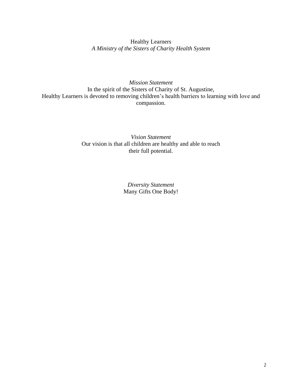Healthy Learners *A Ministry of the Sisters of Charity Health System*

#### *Mission Statement* In the spirit of the Sisters of Charity of St. Augustine, Healthy Learners is devoted to removing children's health barriers to learning with love and compassion.

#### *Vision Statement* Our vision is that all children are healthy and able to reach their full potential.

*Diversity Statement* Many Gifts One Body!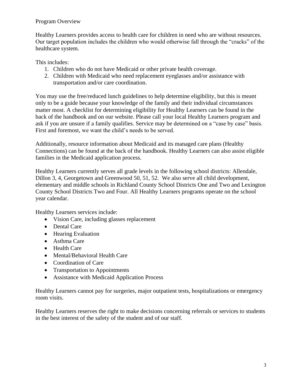#### Program Overview

Healthy Learners provides access to health care for children in need who are without resources. Our target population includes the children who would otherwise fall through the "cracks" of the healthcare system.

This includes:

- 1. Children who do not have Medicaid or other private health coverage.
- 2. Children with Medicaid who need replacement eyeglasses and/or assistance with transportation and/or care coordination.

You may use the free/reduced lunch guidelines to help determine eligibility, but this is meant only to be a guide because your knowledge of the family and their individual circumstances matter most. A checklist for determining eligibility for Healthy Learners can be found in the back of the handbook and on our website. Please call your local Healthy Learners program and ask if you are unsure if a family qualifies. Service may be determined on a "case by case" basis. First and foremost, we want the child's needs to be served.

Additionally, resource information about Medicaid and its managed care plans (Healthy Connections) can be found at the back of the handbook. Healthy Learners can also assist eligible families in the Medicaid application process.

Healthy Learners currently serves all grade levels in the following school districts: Allendale, Dillon 3, 4, Georgetown and Greenwood 50, 51, 52. We also serve all child development, elementary and middle schools in Richland County School Districts One and Two and Lexington County School Districts Two and Four. All Healthy Learners programs operate on the school year calendar.

Healthy Learners services include:

- Vision Care, including glasses replacement
- Dental Care
- Hearing Evaluation
- Asthma Care
- Health Care
- Mental/Behavioral Health Care
- Coordination of Care
- Transportation to Appointments
- Assistance with Medicaid Application Process

Healthy Learners cannot pay for surgeries, major outpatient tests, hospitalizations or emergency room visits.

Healthy Learners reserves the right to make decisions concerning referrals or services to students in the best interest of the safety of the student and of our staff.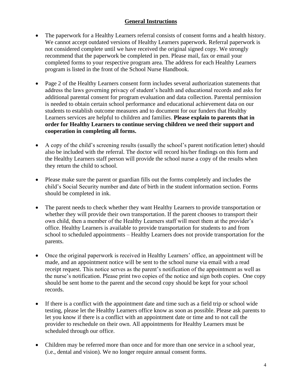#### **General Instructions**

- The paperwork for a Healthy Learners referral consists of consent forms and a health history. We cannot accept outdated versions of Healthy Learners paperwork. Referral paperwork is not considered complete until we have received the original signed copy. We strongly recommend that the paperwork be completed in pen. Please mail, fax or email your completed forms to your respective program area. The address for each Healthy Learners program is listed in the front of the School Nurse Handbook.
- Page 2 of the Healthy Learners consent form includes several authorization statements that address the laws governing privacy of student's health and educational records and asks for additional parental consent for program evaluation and data collection. Parental permission is needed to obtain certain school performance and educational achievement data on our students to establish outcome measures and to document for our funders that Healthy Learners services are helpful to children and families. **Please explain to parents that in order for Healthy Learners to continue serving children we need their support and cooperation in completing all forms.**
- A copy of the child's screening results (usually the school's parent notification letter) should also be included with the referral. The doctor will record his/her findings on this form and the Healthy Learners staff person will provide the school nurse a copy of the results when they return the child to school.
- Please make sure the parent or guardian fills out the forms completely and includes the child's Social Security number and date of birth in the student information section. Forms should be completed in ink.
- The parent needs to check whether they want Healthy Learners to provide transportation or whether they will provide their own transportation. If the parent chooses to transport their own child, then a member of the Healthy Learners staff will meet them at the provider's office. Healthy Learners is available to provide transportation for students to and from school to scheduled appointments – Healthy Learners does not provide transportation for the parents.
- Once the original paperwork is received in Healthy Learners' office, an appointment will be made, and an appointment notice will be sent to the school nurse via email with a read receipt request. This notice serves as the parent's notification of the appointment as well as the nurse's notification. Please print two copies of the notice and sign both copies. One copy should be sent home to the parent and the second copy should be kept for your school records.
- If there is a conflict with the appointment date and time such as a field trip or school wide testing, please let the Healthy Learners office know as soon as possible. Please ask parents to let you know if there is a conflict with an appointment date or time and to not call the provider to reschedule on their own. All appointments for Healthy Learners must be scheduled through our office.
- Children may be referred more than once and for more than one service in a school year, (i.e., dental and vision). We no longer require annual consent forms.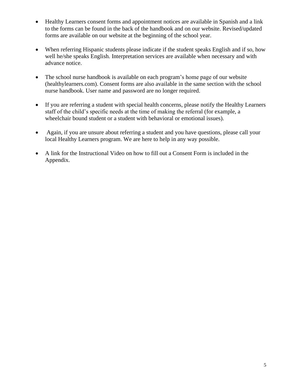- Healthy Learners consent forms and appointment notices are available in Spanish and a link to the forms can be found in the back of the handbook and on our website. Revised/updated forms are available on our website at the beginning of the school year.
- When referring Hispanic students please indicate if the student speaks English and if so, how well he/she speaks English. Interpretation services are available when necessary and with advance notice.
- The school nurse handbook is available on each program's home page of our website (healthylearners.com). Consent forms are also available in the same section with the school nurse handbook. User name and password are no longer required.
- If you are referring a student with special health concerns, please notify the Healthy Learners staff of the child's specific needs at the time of making the referral (for example, a wheelchair bound student or a student with behavioral or emotional issues).
- Again, if you are unsure about referring a student and you have questions, please call your local Healthy Learners program. We are here to help in any way possible.
- A link for the Instructional Video on how to fill out a Consent Form is included in the Appendix.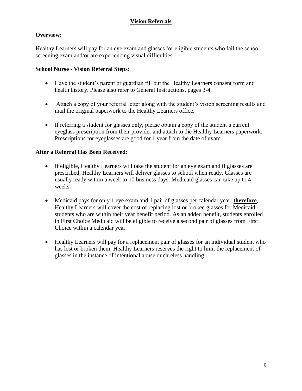#### **Vision Referrals**

#### **Overview:**

Healthy Learners will pay for an eye exam and glasses for eligible students who fail the school screening exam and/or are experiencing visual difficulties.

#### **School Nurse - Vision Referral Steps:**

- Have the student's parent or guardian fill out the Healthy Learners consent form and health history. Please also refer to General Instructions, pages 3-4.
- Attach a copy of your referral letter along with the student's vision screening results and mail the original paperwork to the Healthy Learners office.
- If referring a student for glasses only, please obtain a copy of the student's current eyeglass prescription from their provider and attach to the Healthy Learners paperwork. Prescriptions for eyeglasses are good for 1 year from the date of exam.

- If eligible, Healthy Learners will take the student for an eye exam and if glasses are prescribed, Healthy Learners will deliver glasses to school when ready. Glasses are usually ready within a week to 10 business days. Medicaid glasses can take up to 4 weeks.
- Medicaid pays for only 1 eye exam and 1 pair of glasses per calendar year; **therefore**, Healthy Learners will cover the cost of replacing lost or broken glasses for Medicaid students who are within their year benefit period. As an added benefit, students enrolled in First Choice Medicaid will be eligible to receive a second pair of glasses from First Choice within a calendar year.
- Healthy Learners will pay for a replacement pair of glasses for an individual student who has lost or broken them. Healthy Learners reserves the right to limit the replacement of glasses in the instance of intentional abuse or careless handling.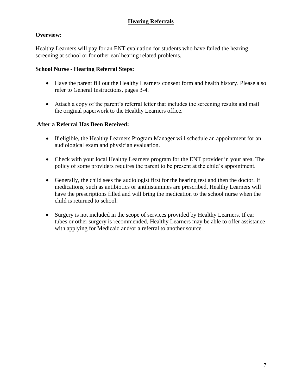#### **Hearing Referrals**

#### **Overview:**

Healthy Learners will pay for an ENT evaluation for students who have failed the hearing screening at school or for other ear/ hearing related problems.

#### **School Nurse - Hearing Referral Steps:**

- Have the parent fill out the Healthy Learners consent form and health history. Please also refer to General Instructions, pages 3-4.
- Attach a copy of the parent's referral letter that includes the screening results and mail the original paperwork to the Healthy Learners office.

- If eligible, the Healthy Learners Program Manager will schedule an appointment for an audiological exam and physician evaluation.
- Check with your local Healthy Learners program for the ENT provider in your area. The policy of some providers requires the parent to be present at the child's appointment.
- Generally, the child sees the audiologist first for the hearing test and then the doctor. If medications, such as antibiotics or antihistamines are prescribed, Healthy Learners will have the prescriptions filled and will bring the medication to the school nurse when the child is returned to school.
- Surgery is not included in the scope of services provided by Healthy Learners. If ear tubes or other surgery is recommended, Healthy Learners may be able to offer assistance with applying for Medicaid and/or a referral to another source.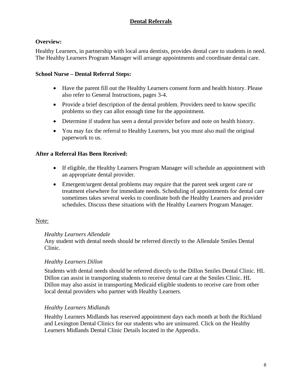#### **Dental Referrals**

#### **Overview:**

Healthy Learners, in partnership with local area dentists, provides dental care to students in need. The Healthy Learners Program Manager will arrange appointments and coordinate dental care.

#### **School Nurse – Dental Referral Steps:**

- Have the parent fill out the Healthy Learners consent form and health history. Please also refer to General Instructions, pages 3-4.
- Provide a brief description of the dental problem. Providers need to know specific problems so they can allot enough time for the appointment.
- Determine if student has seen a dental provider before and note on health history.
- You may fax the referral to Healthy Learners, but you must also mail the original paperwork to us.

#### **After a Referral Has Been Received:**

- If eligible, the Healthy Learners Program Manager will schedule an appointment with an appropriate dental provider.
- Emergent/urgent dental problems may require that the parent seek urgent care or treatment elsewhere for immediate needs. Scheduling of appointments for dental care sometimes takes several weeks to coordinate both the Healthy Learners and provider schedules. Discuss these situations with the Healthy Learners Program Manager.

#### Note:

#### *Healthy Learners Allendale*

Any student with dental needs should be referred directly to the Allendale Smiles Dental Clinic.

#### *Healthy Learners Dillon*

Students with dental needs should be referred directly to the Dillon Smiles Dental Clinic. HL Dillon can assist in transporting students to receive dental care at the Smiles Clinic. HL Dillon may also assist in transporting Medicaid eligible students to receive care from other local dental providers who partner with Healthy Learners.

#### *Healthy Learners Midlands*

Healthy Learners Midlands has reserved appointment days each month at both the Richland and Lexington Dental Clinics for our students who are uninsured. Click on the Healthy Learners Midlands Dental Clinic Details located in the Appendix.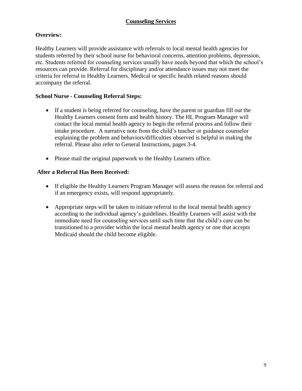#### **Counseling Services**

#### **Overview:**

Healthy Learners will provide assistance with referrals to local mental health agencies for students referred by their school nurse for behavioral concerns, attention problems, depression, etc. Students referred for counseling services usually have needs beyond that which the school's resources can provide. Referral for disciplinary and/or attendance issues may not meet the criteria for referral to Healthy Learners. Medical or specific health related reasons should accompany the referral.

#### **School Nurse - Counseling Referral Steps:**

- If a student is being referred for counseling, have the parent or guardian fill out the Healthy Learners consent form and health history. The HL Program Manager will contact the local mental health agency to begin the referral process and follow their intake procedure. A narrative note from the child's teacher or guidance counselor explaining the problem and behaviors/difficulties observed is helpful in making the referral. Please also refer to General Instructions, pages 3-4.
- Please mail the original paperwork to the Healthy Learners office.

- If eligible the Healthy Learners Program Manager will assess the reason for referral and if an emergency exists, will respond appropriately.
- Appropriate steps will be taken to initiate referral to the local mental health agency according to the individual agency's guidelines. Healthy Learners will assist with the immediate need for counseling services until such time that the child's care can be transitioned to a provider within the local mental health agency or one that accepts Medicaid should the child become eligible.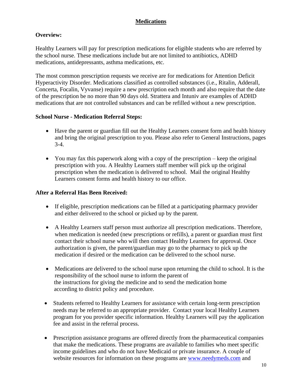#### **Medications**

#### **Overview:**

Healthy Learners will pay for prescription medications for eligible students who are referred by the school nurse. These medications include but are not limited to antibiotics, ADHD medications, antidepressants, asthma medications, etc.

The most common prescription requests we receive are for medications for Attention Deficit Hyperactivity Disorder. Medications classified as controlled substances (i.e., Ritalin, Adderall, Concerta, Focalin, Vyvanse) require a new prescription each month and also require that the date of the prescription be no more than 90 days old. Strattera and Intuniv are examples of ADHD medications that are not controlled substances and can be refilled without a new prescription.

#### **School Nurse - Medication Referral Steps:**

- Have the parent or guardian fill out the Healthy Learners consent form and health history and bring the original prescription to you. Please also refer to General Instructions, pages 3-4.
- You may fax this paperwork along with a copy of the prescription keep the original prescription with you. A Healthy Learners staff member will pick up the original prescription when the medication is delivered to school. Mail the original Healthy Learners consent forms and health history to our office.

- If eligible, prescription medications can be filled at a participating pharmacy provider and either delivered to the school or picked up by the parent.
- A Healthy Learners staff person must authorize all prescription medications. Therefore, when medication is needed (new prescriptions or refills), a parent or guardian must first contact their school nurse who will then contact Healthy Learners for approval. Once authorization is given, the parent/guardian may go to the pharmacy to pick up the medication if desired or the medication can be delivered to the school nurse.
- Medications are delivered to the school nurse upon returning the child to school. It is the responsibility of the school nurse to inform the parent of the instructions for giving the medicine and to send the medication home according to district policy and procedure.
- Students referred to Healthy Learners for assistance with certain long-term prescription needs may be referred to an appropriate provider. Contact your local Healthy Learners program for you provider specific information. Healthy Learners will pay the application fee and assist in the referral process.
- Prescription assistance programs are offered directly from the pharmaceutical companies that make the medications. These programs are available to families who meet specific income guidelines and who do not have Medicaid or private insurance. A couple of website resources for information on these programs are [www.needymeds.com](http://www.needymeds.com/) and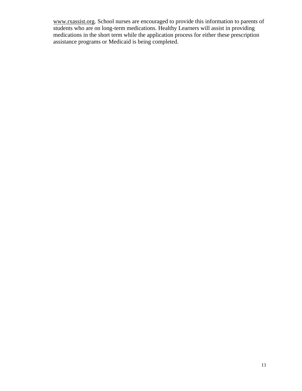[www.rxassist.org.](http://www.rxassist.org/) School nurses are encouraged to provide this information to parents of students who are on long-term medications. Healthy Learners will assist in providing medications in the short term while the application process for either these prescription assistance programs or Medicaid is being completed.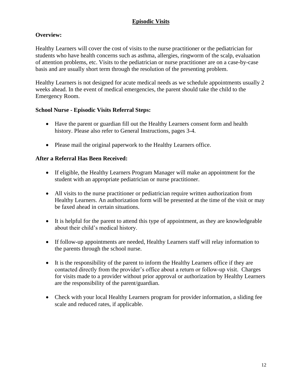#### **Episodic Visits**

#### **Overview:**

Healthy Learners will cover the cost of visits to the nurse practitioner or the pediatrician for students who have health concerns such as asthma, allergies, ringworm of the scalp, evaluation of attention problems, etc. Visits to the pediatrician or nurse practitioner are on a case-by-case basis and are usually short term through the resolution of the presenting problem.

Healthy Learners is not designed for acute medical needs as we schedule appointments usually 2 weeks ahead. In the event of medical emergencies, the parent should take the child to the Emergency Room.

#### **School Nurse - Episodic Visits Referral Steps:**

- Have the parent or guardian fill out the Healthy Learners consent form and health history. Please also refer to General Instructions, pages 3-4.
- Please mail the original paperwork to the Healthy Learners office.

- If eligible, the Healthy Learners Program Manager will make an appointment for the student with an appropriate pediatrician or nurse practitioner.
- All visits to the nurse practitioner or pediatrician require written authorization from Healthy Learners. An authorization form will be presented at the time of the visit or may be faxed ahead in certain situations.
- It is helpful for the parent to attend this type of appointment, as they are knowledgeable about their child's medical history.
- If follow-up appointments are needed, Healthy Learners staff will relay information to the parents through the school nurse.
- It is the responsibility of the parent to inform the Healthy Learners office if they are contacted directly from the provider's office about a return or follow-up visit. Charges for visits made to a provider without prior approval or authorization by Healthy Learners are the responsibility of the parent/guardian.
- Check with your local Healthy Learners program for provider information, a sliding fee scale and reduced rates, if applicable.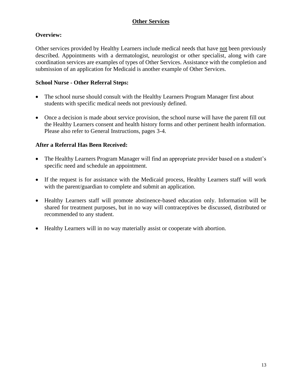#### **Other Services**

#### **Overview:**

Other services provided by Healthy Learners include medical needs that have not been previously described. Appointments with a dermatologist, neurologist or other specialist, along with care coordination services are examples of types of Other Services. Assistance with the completion and submission of an application for Medicaid is another example of Other Services.

#### **School Nurse - Other Referral Steps:**

- The school nurse should consult with the Healthy Learners Program Manager first about students with specific medical needs not previously defined.
- Once a decision is made about service provision, the school nurse will have the parent fill out the Healthy Learners consent and health history forms and other pertinent health information. Please also refer to General Instructions, pages 3-4.

- The Healthy Learners Program Manager will find an appropriate provider based on a student's specific need and schedule an appointment.
- If the request is for assistance with the Medicaid process, Healthy Learners staff will work with the parent/guardian to complete and submit an application.
- Healthy Learners staff will promote abstinence-based education only. Information will be shared for treatment purposes, but in no way will contraceptives be discussed, distributed or recommended to any student.
- Healthy Learners will in no way materially assist or cooperate with abortion.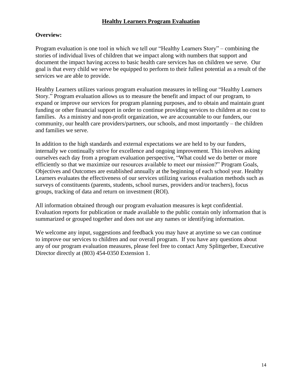#### **Healthy Learners Program Evaluation**

#### **Overview:**

Program evaluation is one tool in which we tell our "Healthy Learners Story" – combining the stories of individual lives of children that we impact along with numbers that support and document the impact having access to basic health care services has on children we serve. Our goal is that every child we serve be equipped to perform to their fullest potential as a result of the services we are able to provide.

Healthy Learners utilizes various program evaluation measures in telling our "Healthy Learners Story." Program evaluation allows us to measure the benefit and impact of our program, to expand or improve our services for program planning purposes, and to obtain and maintain grant funding or other financial support in order to continue providing services to children at no cost to families. As a ministry and non-profit organization, we are accountable to our funders, our community, our health care providers/partners, our schools, and most importantly – the children and families we serve.

In addition to the high standards and external expectations we are held to by our funders, internally we continually strive for excellence and ongoing improvement. This involves asking ourselves each day from a program evaluation perspective, "What could we do better or more efficiently so that we maximize our resources available to meet our mission?" Program Goals, Objectives and Outcomes are established annually at the beginning of each school year. Healthy Learners evaluates the effectiveness of our services utilizing various evaluation methods such as surveys of constituents (parents, students, school nurses, providers and/or teachers), focus groups, tracking of data and return on investment (ROI).

All information obtained through our program evaluation measures is kept confidential. Evaluation reports for publication or made available to the public contain only information that is summarized or grouped together and does not use any names or identifying information.

We welcome any input, suggestions and feedback you may have at anytime so we can continue to improve our services to children and our overall program. If you have any questions about any of our program evaluation measures, please feel free to contact Amy Splittgerber, Executive Director directly at (803) 454-0350 Extension 1.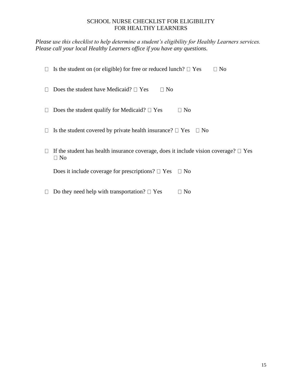#### SCHOOL NURSE CHECKLIST FOR ELIGIBILITY FOR HEALTHY LEARNERS

*Please use this checklist to help determine a student's eligibility for Healthy Learners services. Please call your local Healthy Learners office if you have any questions.*

| $\Box$ | Is the student on (or eligible) for free or reduced lunch? $\Box$ Yes<br>$\Box$ No                        |
|--------|-----------------------------------------------------------------------------------------------------------|
|        | Does the student have Medicaid? $\Box$ Yes<br>$\Box$ No                                                   |
|        | Does the student qualify for Medicaid? $\square$ Yes<br>$\Box$ No                                         |
|        | $\Box$ Is the student covered by private health insurance? $\Box$ Yes<br>$\Box$ No                        |
|        | If the student has health insurance coverage, does it include vision coverage? $\square$ Yes<br>$\Box$ No |
|        | Does it include coverage for prescriptions? $\Box$ Yes<br>$\Box$ No                                       |

 $\Box$  Do they need help with transportation?  $\Box$  Yes  $\Box$  No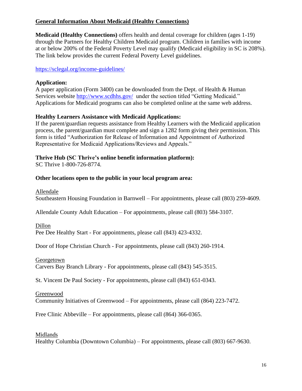#### **General Information About Medicaid (Healthy Connections)**

**Medicaid (Healthy Connections)** offers health and dental coverage for children (ages 1-19) through the Partners for Healthy Children Medicaid program. Children in families with income at or below 200% of the Federal Poverty Level may qualify (Medicaid eligibility in SC is 208%). The link below provides the current Federal Poverty Level guidelines.

<https://sclegal.org/income-guidelines/>

#### **Application:**

A paper application (Form 3400) can be downloaded from the Dept. of Health & Human Services website<http://www.scdhhs.gov/>under the section titled "Getting Medicaid." Applications for Medicaid programs can also be completed online at the same web address.

#### **Healthy Learners Assistance with Medicaid Applications:**

If the parent/guardian requests assistance from Healthy Learners with the Medicaid application process, the parent/guardian must complete and sign a 1282 form giving their permission. This form is titled "Authorization for Release of Information and Appointment of Authorized Representative for Medicaid Applications/Reviews and Appeals."

#### **Thrive Hub (SC Thrive's online benefit information platform):**

SC Thrive 1-800-726-8774.

#### **Other locations open to the public in your local program area:**

Allendale

Southeastern Housing Foundation in Barnwell – For appointments, please call (803) 259-4609.

Allendale County Adult Education – For appointments, please call (803) 584-3107.

Dillon

Pee Dee Healthy Start - For appointments, please call (843) 423-4332.

Door of Hope Christian Church - For appointments, please call (843) 260-1914.

Georgetown

Carvers Bay Branch Library - For appointments, please call (843) 545-3515.

St. Vincent De Paul Society - For appointments, please call (843) 651-0343.

Greenwood

Community Initiatives of Greenwood – For appointments, please call (864) 223-7472.

Free Clinic Abbeville – For appointments, please call (864) 366-0365.

#### Midlands

Healthy Columbia (Downtown Columbia) – For appointments, please call (803) 667-9630.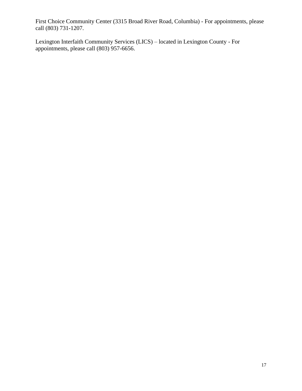First Choice Community Center (3315 Broad River Road, Columbia) - For appointments, please call (803) 731-1207.

Lexington Interfaith Community Services (LICS) – located in Lexington County - For appointments, please call (803) 957-6656.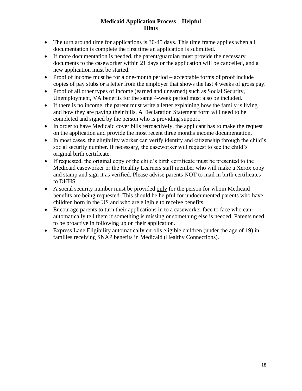#### **Medicaid Application Process – Helpful Hints**

- The turn around time for applications is 30-45 days. This time frame applies when all documentation is complete the first time an application is submitted.
- If more documentation is needed, the parent/guardian must provide the necessary documents to the caseworker within 21 days or the application will be cancelled, and a new application must be started.
- Proof of income must be for a one-month period acceptable forms of proof include copies of pay stubs or a letter from the employer that shows the last 4 weeks of gross pay.
- Proof of all other types of income (earned and unearned) such as Social Security, Unemployment, VA benefits for the same 4-week period must also be included.
- If there is no income, the parent must write a letter explaining how the family is living and how they are paying their bills. A Declaration Statement form will need to be completed and signed by the person who is providing support.
- In order to have Medicaid cover bills retroactively, the applicant has to make the request on the application and provide the most recent three months income documentation.
- In most cases, the eligibility worker can verify identity and citizenship through the child's social security number. If necessary, the caseworker will request to see the child's original birth certificate.
- If requested, the original copy of the child's birth certificate must be presented to the Medicaid caseworker or the Healthy Learners staff member who will make a Xerox copy and stamp and sign it as verified. Please advise parents NOT to mail in birth certificates to DHHS.
- A social security number must be provided only for the person for whom Medicaid benefits are being requested. This should be helpful for undocumented parents who have children born in the US and who are eligible to receive benefits.
- Encourage parents to turn their applications in to a caseworker face to face who can automatically tell them if something is missing or something else is needed. Parents need to be proactive in following up on their application.
- Express Lane Eligibility automatically enrolls eligible children (under the age of 19) in families receiving SNAP benefits in Medicaid (Healthy Connections).